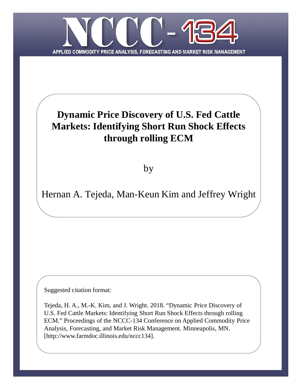

# **Dynamic Price Discovery of U.S. Fed Cattle Markets: Identifying Short Run Shock Effects through rolling ECM**

by

Hernan A. Tejeda, Man-Keun Kim and Jeffrey Wright

Suggested citation format:

Tejeda, H. A., M.-K. Kim, and J. Wright. 2018. "Dynamic Price Discovery of U.S. Fed Cattle Markets: Identifying Short Run Shock Effects through rolling ECM." Proceedings of the NCCC-134 Conference on Applied Commodity Price Analysis, Forecasting, and Market Risk Management. Minneapolis, MN. [http://www.farmdoc.illinois.edu/nccc134].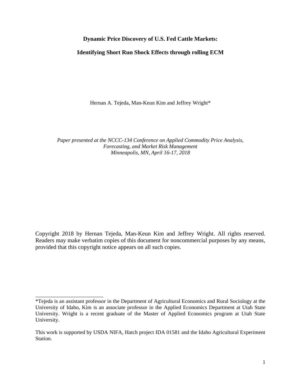## **Dynamic Price Discovery of U.S. Fed Cattle Markets:**

## **Identifying Short Run Shock Effects through rolling ECM**

Hernan A. Tejeda, Man-Keun Kim and Jeffrey Wright\*

*Paper presented at the NCCC-134 Conference on Applied Commodity Price Analysis, Forecasting, and Market Risk Management Minneapolis, MN, April 16-17, 2018*

Copyright 2018 by Hernan Tejeda, Man-Keun Kim and Jeffrey Wright. All rights reserved. Readers may make verbatim copies of this document for noncommercial purposes by any means, provided that this copyright notice appears on all such copies.

\_\_\_\_\_\_\_\_\_\_\_\_\_\_\_\_\_\_\_\_\_\_\_

<sup>\*</sup>Tejeda is an assistant professor in the Department of Agricultural Economics and Rural Sociology at the University of Idaho, Kim is an associate professor in the Applied Economics Department at Utah State University. Wright is a recent graduate of the Master of Applied Economics program at Utah State University.

This work is supported by USDA NIFA, Hatch project IDA 01581 and the Idaho Agricultural Experiment Station.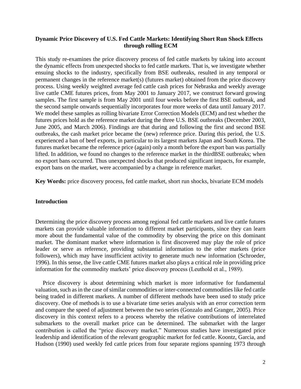# **Dynamic Price Discovery of U.S. Fed Cattle Markets: Identifying Short Run Shock Effects through rolling ECM**

This study re-examines the price discovery process of fed cattle markets by taking into account the dynamic effects from unexpected shocks to fed cattle markets. That is, we investigate whether ensuing shocks to the industry, specifically from BSE outbreaks, resulted in any temporal or permanent changes in the reference market(s) (futures market) obtained from the price discovery process. Using weekly weighted average fed cattle cash prices for Nebraska and weekly average live cattle CME futures prices, from May 2001 to January 2017, we construct forward growing samples. The first sample is from May 2001 until four weeks before the first BSE outbreak, and the second sample onwards sequentially incorporates four more weeks of data until January 2017. We model these samples as rolling bivariate Error Correction Models (ECM) and test whether the futures prices hold as the reference market during the three U.S. BSE outbreaks (December 2003, June 2005, and March 2006). Findings are that during and following the first and second BSE outbreaks, the cash market price became the (new) reference price. During this period, the U.S. experienced a ban of beef exports, in particular to its largest markets Japan and South Korea. The futures market became the reference price (again) only a month before the export ban was partially lifted. In addition, we found no changes to the reference market in the thirdBSE outbreaks; when no export bans occurred. Thus unexpected shocks that produced significant impacts, for example, export bans on the market, were accompanied by a change in reference market.

**Key Words:** price discovery process, fed cattle market, short run shocks, bivariate ECM models

# **Introduction**

Determining the price discovery process among regional fed cattle markets and live cattle futures markets can provide valuable information to different market participants, since they can learn more about the fundamental value of the commodity by observing the price on this dominant market. The dominant market where information is first discovered may play the role of price leader or serve as reference, providing substantial information to the other markets (price followers), which may have insufficient activity to generate much new information (Schroeder, 1996). In this sense, the live cattle CME futures market also plays a critical role in providing price information for the commodity markets' price discovery process (Leuthold et al., 1989).

 Price discovery is about determining which market is more informative for fundamental valuation, such as in the case of similar commodities or inter-connected commodities like fed cattle being traded in different markets. A number of different methods have been used to study price discovery. One of methods is to use a bivariate time series analysis with an error correction term and compare the speed of adjustment between the two series (Gonzalo and Granger, 2005). Price discovery in this context refers to a process whereby the relative contributions of interrelated submarkets to the overall market price can be determined. The submarket with the larger contribution is called the "price discovery market." Numerous studies have investigated price leadership and identification of the relevant geographic market for fed cattle. Koontz, Garcia, and Hudson (1990) used weekly fed cattle prices from four separate regions spanning 1973 through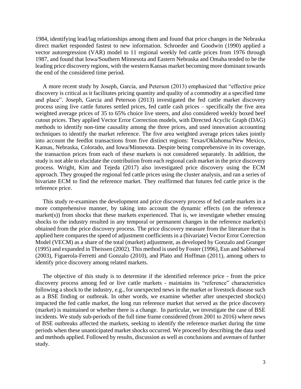1984, identifying lead/lag relationships among them and found that price changes in the Nebraska direct market responded fastest to new information. Schroeder and Goodwin (1990) applied a vector autoregression (VAR) model to 11 regional weekly fed cattle prices from 1976 through 1987, and found that Iowa/Southern Minnesota and Eastern Nebraska and Omaha tended to be the leading price discovery regions, with the western Kansas market becoming more dominant towards the end of the considered time period.

 A more recent study by Joseph, Garcia, and Peterson (2013) emphasized that "effective price discovery is critical as it facilitates pricing quantity and quality of a commodity at a specified time and place". Joseph, Garcia and Peterson (2013) investigated the fed cattle market discovery process using live cattle futures settled prices, fed cattle cash prices – specifically the five area weighted average prices of 35 to 65% choice live steers, and also considered weekly boxed beef cutout prices. They applied Vector Error Correction models, with Directed Acyclic Graph (DAG) methods to identify non-time causality among the three prices, and used innovation accounting techniques to identify the market reference. The five area weighted average prices takes jointly into account the feedlot transactions from five distinct regions: Texas/Oklahoma/New Mexico, Kansas, Nebraska, Colorado, and Iowa/Minnesota. Despite being comprehensive in its coverage, the transaction prices from each of these markets is not considered separately. In addition, the study is not able to elucidate the contribution from each regional cash market in the price discovery process. Wright, Kim and Tejeda (2017) also investigated price discovery using the ECM approach. They grouped the regional fed cattle prices using the cluster analysis, and ran a series of bivariate ECM to find the reference market. They reaffirmed that futures fed cattle price is the reference price.

 This study re-examines the development and price discovery process of fed cattle markets in a more comprehensive manner, by taking into account the dynamic effects (on the reference market(s)) from shocks that these markets experienced. That is, we investigate whether ensuing shocks to the industry resulted in any temporal or permanent changes in the reference market(s) obtained from the price discovery process. The price discovery measure from the literature that is applied here compares the speed of adjustment coefficients in a (bivariate) Vector Error Correction Model (VECM) as a share of the total (market) adjustment, as developed by Gonzalo and Granger (1995) and expanded in Theissen (2002). This method is used by Foster (1996), Eun and Sabherwal (2003), Figuerola-Ferretti and Gonzalo (2010), and Plato and Hoffman (2011), among others to identify price discovery among related markets.

 The objective of this study is to determine if the identified reference price - from the price discovery process among fed or live cattle markets - maintains its "reference" characteristics following a shock to the industry, e.g., for unexpected news in the market or livestock disease such as a BSE finding or outbreak. In other words, we examine whether after unexpected shock(s) impacted the fed cattle market, the long run reference market that served as the price discovery (market) is maintained or whether there is a change. In particular, we investigate the case of BSE incidents. We study sub-periods of the full time frame considered (from 2001 to 2016) where news of BSE outbreaks affected the markets, seeking to identify the reference market during the time periods when these unanticipated market shocks occurred. We proceed by describing the data used and methods applied. Followed by results, discussion as well as conclusions and avenues of further study.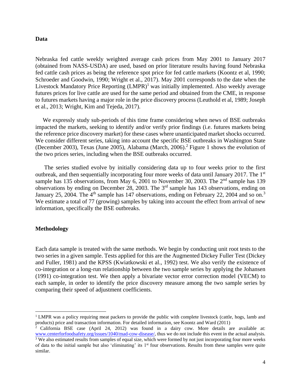#### **Data**

Nebraska fed cattle weekly weighted average cash prices from May 2001 to January 2017 (obtained from NASS-USDA) are used, based on prior literature results having found Nebraska fed cattle cash prices as being the reference spot price for fed cattle markets (Koontz et al, 1990; Schroeder and Goodwin, 1990; Wright et al., 2017). May 2001 corresponds to the date when the Livestock Mandatory Price Reporting  $(LMPR)^1$  was initially implemented. Also weekly average futures prices for live cattle are used for the same period and obtained from the CME, in response to futures markets having a major role in the price discovery process (Leuthold et al, 1989; Joseph et al., 2013; Wright, Kim and Tejeda, 2017).

 We expressly study sub-periods of this time frame considering when news of BSE outbreaks impacted the markets, seeking to identify and/or verify prior findings (i.e. futures markets being the reference price discovery market) for these cases where unanticipated market shocks occurred. We consider different series, taking into account the specific BSE outbreaks in Washington State (December 2003), Texas (June 2005), Alabama (March, 2006). <sup>2</sup> Figure 1 shows the evolution of the two prices series, including when the BSE outbreaks occurred.

 The series studied evolve by initially considering data up to four weeks prior to the first outbreak, and then sequentially incorporating four more weeks of data until January 2017. The 1st sample has 135 observations, from May 6, 2001 to November 30, 2003. The 2<sup>nd</sup> sample has 139 observations by ending on December 28, 2003. The 3rd sample has 143 observations, ending on January 25, 2004. The  $4<sup>th</sup>$  sample has 147 observations, ending on February 22, 2004 and so on.<sup>3</sup> We estimate a total of 77 (growing) samples by taking into account the effect from arrival of new information, specifically the BSE outbreaks.

#### **Methodology**

l

Each data sample is treated with the same methods. We begin by conducting unit root tests to the two series in a given sample. Tests applied for this are the Augmented Dickey Fuller Test (Dickey and Fuller, 1981) and the KPSS (Kwiatkowski et al., 1992) test. We also verify the existence of co-integration or a long-run relationship between the two sample series by applying the Johansen (1991) co-integration test. We then apply a bivariate vector error correction model (VECM) to each sample, in order to identify the price discovery measure among the two sample series by comparing their speed of adjustment coefficients.

<sup>&</sup>lt;sup>1</sup> LMPR was a policy requiring meat packers to provide the public with complete livestock (cattle, hogs, lamb and products) price and transaction information. For detailed information, see Koontz and Ward (2011)

<sup>2</sup> California BSE case (April 24, 2012) was found in a dairy cow. More details are available at: [www.centerforfoodsafety.org/issues/1040/mad-cow-disease/,](http://www.centerforfoodsafety.org/issues/1040/mad-cow-disease/) thus we do not include this event in the actual analysis. <sup>3</sup> We also estimated results from samples of equal size, which were formed by not just incorporating four more weeks of data to the initial sample but also 'eliminating' its 1st four observations. Results from these samples were quite similar.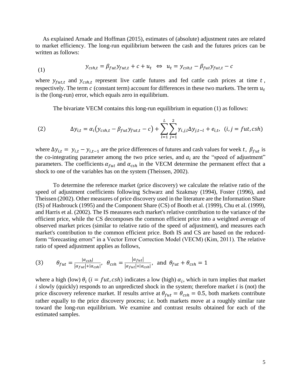As explained Arnade and Hoffman (2015), estimates of (absolute) adjustment rates are related to market efficiency. The long-run equilibrium between the cash and the futures prices can be written as follows:

(1) 
$$
y_{csh,t} = \beta_{fut} y_{fut,t} + c + u_t \Leftrightarrow u_t = y_{csh,t} - \beta_{fut} y_{fut,t} - c
$$

where  $y_{fut,t}$  and  $y_{csh,t}$  represent live cattle futures and fed cattle cash prices at time t, respectively. The term  $c$  (constant term) account for differences in these two markets. The term  $u_t$ is the (long-run) error, which equals zero in equilibrium.

The bivariate VECM contains this long-run equilibrium in equation (1) as follows:

(2) 
$$
\Delta y_{i,t} = \alpha_i (y_{csh,t} - \beta_{fut} y_{fut,t} - c) + \sum_{l=1}^{L} \sum_{j=1}^{2} \gamma_{i,j,l} \Delta y_{j,t-l} + e_{i,t}, \quad (i,j = fut, csh)
$$

where  $\Delta y_{i,t} = y_{i,t} - y_{i,t-1}$  are the price differences of futures and cash values for week t,  $\beta_{fut}$  is the co-integrating parameter among the two price series, and  $\alpha_i$  are the "speed of adjustment" parameters. The coefficients  $\alpha_{fut}$  and  $\alpha_{csh}$  in the VECM determine the permanent effect that a shock to one of the variables has on the system (Theissen, 2002).

 To determine the reference market (price discovery) we calculate the relative ratio of the speed of adjustment coefficients following Schwarz and Szakmay (1994), Foster (1996), and Theissen (2002). Other measures of price discovery used in the literature are the Information Share (IS) of Hasbrouck (1995) and the Component Share (CS) of Booth et al. (1999), Chu et al. (1999), and Harris et al. (2002). The IS measures each market's relative contribution to the variance of the efficient price, while the CS decomposes the common efficient price into a weighted average of observed market prices (similar to relative ratio of the speed of adjustment), and measures each market's contribution to the common efficient price. Both IS and CS are based on the reducedform "forecasting errors" in a Vector Error Correction Model (VECM) (Kim, 2011). The relative ratio of speed adjustment applies as follows,

(3) 
$$
\theta_{fut} = \frac{|a_{csh}|}{|a_{fut}| + |a_{csh}|}, \quad \theta_{csh} = \frac{|a_{fut}|}{|a_{fut}| + |a_{csh}|}, \text{ and } \theta_{fut} + \theta_{csh} = 1
$$

where a high (low)  $\theta_i$  ( $i = fut, csh$ ) indicates a low (high)  $\alpha_i$ , which in turn implies that market  $i$  slowly (quickly) responds to an unpredicted shock in the system; therefore market  $i$  is (not) the price discovery reference market. If results arrive at  $\theta_{fut} = \theta_{csh} = 0.5$ , both markets contribute rather equally to the price discovery process; i.e. both markets move at a roughly similar rate toward the long-run equilibrium. We examine and contrast results obtained for each of the estimated samples.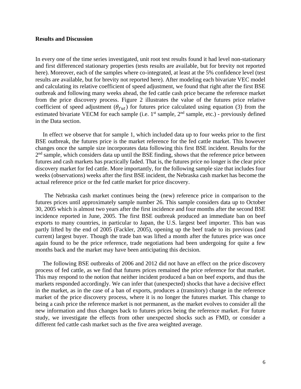#### **Results and Discussion**

In every one of the time series investigated, unit root test results found it had level non-stationary and first differenced stationary properties (tests results are available, but for brevity not reported here). Moreover, each of the samples where co-integrated, at least at the 5% confidence level (test results are available, but for brevity not reported here). After modeling each bivariate VEC model and calculating its relative coefficient of speed adjustment, we found that right after the first BSE outbreak and following many weeks ahead, the fed cattle cash price became the reference market from the price discovery process. Figure 2 illustrates the value of the futures price relative coefficient of speed adjustment ( $\theta_{fut}$ ) for futures price calculated using equation (3) from the estimated bivariate VECM for each sample (i.e.  $1<sup>st</sup>$  sample,  $2<sup>nd</sup>$  sample, etc.) - previously defined in the Data section.

 In effect we observe that for sample 1, which included data up to four weeks prior to the first BSE outbreak, the futures price is the market reference for the fed cattle market. This however changes once the sample size incorporates data following this first BSE incident. Results for the  $2<sup>nd</sup>$  sample, which considers data up until the BSE finding, shows that the reference price between futures and cash markets has practically faded. That is, the futures price no longer is the clear price discovery market for fed cattle. More importantly, for the following sample size that includes four weeks (observations) weeks after the first BSE incident, the Nebraska cash market has become the actual reference price or the fed cattle market for price discovery.

 The Nebraska cash market continues being the (new) reference price in comparison to the futures prices until approximately sample number 26. This sample considers data up to October 30, 2005 which is almost two years after the first incidence and four months after the second BSE incidence reported in June, 2005. The first BSE outbreak produced an immediate ban on beef exports to many countries, in particular to Japan, the U.S. largest beef importer. This ban was partly lifted by the end of 2005 (Fackler, 2005), opening up the beef trade to its previous (and current) largest buyer. Though the trade ban was lifted a month after the futures price was once again found to be the price reference, trade negotiations had been undergoing for quite a few months back and the market may have been anticipating this decision.

 The following BSE outbreaks of 2006 and 2012 did not have an effect on the price discovery process of fed cattle, as we find that futures prices remained the price reference for that market. This may respond to the notion that neither incident produced a ban on beef exports, and thus the markets responded accordingly. We can infer that (unexpected) shocks that have a decisive effect in the market, as in the case of a ban of exports, produces a (transitory) change in the reference market of the price discovery process, where it is no longer the futures market. This change to being a cash price the reference market is not permanent, as the market evolves to consider all the new information and thus changes back to futures prices being the reference market. For future study, we investigate the effects from other unexpected shocks such as FMD, or consider a different fed cattle cash market such as the five area weighted average.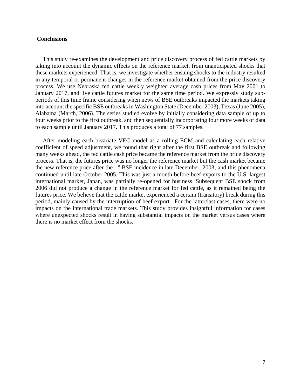#### **Conclusions**

 This study re-examines the development and price discovery process of fed cattle markets by taking into account the dynamic effects on the reference market, from unanticipated shocks that these markets experienced. That is, we investigate whether ensuing shocks to the industry resulted in any temporal or permanent changes in the reference market obtained from the price discovery process. We use Nebraska fed cattle weekly weighted average cash prices from May 2001 to January 2017, and live cattle futures market for the same time period. We expressly study subperiods of this time frame considering when news of BSE outbreaks impacted the markets taking into account the specific BSE outbreaks in Washington State (December 2003), Texas (June 2005), Alabama (March, 2006). The series studied evolve by initially considering data sample of up to four weeks prior to the first outbreak, and then sequentially incorporating four more weeks of data to each sample until January 2017. This produces a total of 77 samples.

 After modeling each bivariate VEC model as a rolling ECM and calculating each relative coefficient of speed adjustment, we found that right after the first BSE outbreak and following many weeks ahead, the fed cattle cash price became the reference market from the price discovery process. That is, the futures price was no longer the reference market but the cash market became the new reference price after the  $1<sup>st</sup> BSE$  incidence in late December, 2003; and this phenomena continued until late October 2005. This was just a month before beef exports to the U.S. largest international market, Japan, was partially re-opened for business. Subsequent BSE shock from 2006 did not produce a change in the reference market for fed cattle, as it remained being the futures price. We believe that the cattle market experienced a certain (transitory) break during this period, mainly caused by the interruption of beef export. For the latter/last cases, there were no impacts on the international trade markets. This study provides insightful information for cases where unexpected shocks result in having substantial impacts on the market versus cases where there is no market effect from the shocks.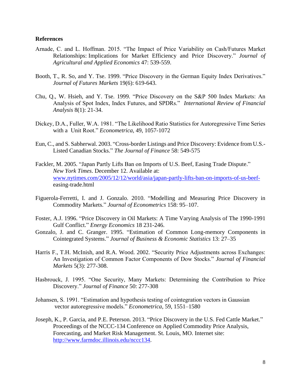#### **References**

- Arnade, C. and L. Hoffman. 2015. "The Impact of Price Variability on Cash/Futures Market Relationships: Implications for Market Efficiency and Price Discovery." *Journal of Agricultural and Applied Economics* 47: 539-559.
- Booth, T., R. So, and Y. Tse. 1999. "Price Discovery in the German Equity Index Derivatives." *Journal of Futures Markets* 19(6): 619-643.
- Chu, Q., W. Hsieh, and Y. Tse. 1999. "Price Discovery on the S&P 500 Index Markets: An Analysis of Spot Index, Index Futures, and SPDRs." *International Review of Financial Analysis* 8(1): 21-34.
- Dickey, D.A., Fuller, W.A. 1981. "The Likelihood Ratio Statistics for Autoregressive Time Series with a Unit Root." *Econometrica*, 49, 1057-1072
- Eun, C., and S. Sabherwal. 2003. "Cross-border Listings and Price Discovery: Evidence from U.S.- Listed Canadian Stocks." *The Journal of Finance* 58: 549-575
- Fackler, M. 2005. "Japan Partly Lifts Ban on Imports of U.S. Beef, Easing Trade Dispute." *New York Times*. December 12. Available at: [www.nytimes.com/2005/12/12/world/asia/japan-partly-lifts-ban-on-imports-of-us-beef](http://www.nytimes.com/2005/12/12/world/asia/japan-partly-lifts-ban-on-imports-of-us-beef-)easing-trade.html
- Figuerola-Ferretti, I. and J. Gonzalo. 2010. "Modelling and Measuring Price Discovery in Commodity Markets." *Journal of Econometrics* 158: 95–107.
- Foster, A.J. 1996. "Price Discovery in Oil Markets: A Time Varying Analysis of The 1990-1991 Gulf Conflict." *Energy Economics* 18 231-246.
- Gonzalo, J. and C. Granger. 1995. "Estimation of Common Long-memory Components in Cointegrated Systems." *Journal of Business & Economic Statistics* 13: 27–35
- Harris F., T.H. McInish, and R.A. Wood. 2002. "Security Price Adjustments across Exchanges: An Investigation of Common Factor Components of Dow Stocks." *Journal of Financial Markets* 5(3): 277-308.
- Hasbrouck, J. 1995. "One Security, Many Markets: Determining the Contribution to Price Discovery." *Journal of Finance* 50: 277-308
- Johansen, S. 1991. "Estimation and hypothesis testing of cointegration vectors in Gaussian vector autoregressive models." *Econometrica*, 59, 1551–1580
- Joseph, K., P. Garcia, and P.E. Peterson. 2013. "Price Discovery in the U.S. Fed Cattle Market." Proceedings of the NCCC-134 Conference on Applied Commodity Price Analysis, Forecasting, and Market Risk Management. St. Louis, MO. Internet site: [http://www.farmdoc.illinois.edu/nccc134.](http://www.farmdoc.illinois.edu/nccc134)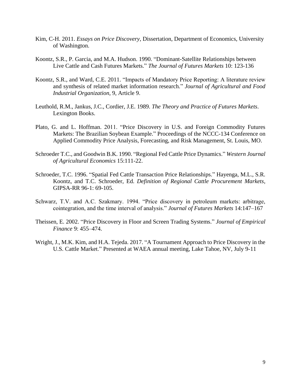- Kim, C-H. 2011. *Essays on Price Discovery*, Dissertation, Department of Economics, University of Washington.
- Koontz, S.R., P. Garcia, and M.A. Hudson. 1990. "Dominant-Satellite Relationships between Live Cattle and Cash Futures Markets." *The Journal of Futures Markets* 10: 123-136
- Koontz, S.R., and Ward, C.E. 2011. "Impacts of Mandatory Price Reporting: A literature review and synthesis of related market information research." *Journal of Agricultural and Food Industrial Organization*, 9, Article 9.
- Leuthold, R.M., Jankus, J.C., Cordier, J.E. 1989. *The Theory and Practice of Futures Markets*. Lexington Books.
- Plato, G. and L. Hoffman. 2011. "Price Discovery in U.S. and Foreign Commodity Futures Markets: The Brazilian Soybean Example." Proceedings of the NCCC-134 Conference on Applied Commodity Price Analysis, Forecasting, and Risk Management, St. Louis, MO.
- Schroeder T.C., and Goodwin B.K. 1990. "Regional Fed Cattle Price Dynamics." *Western Journal of Agricultural Economics* 15:111-22.
- Schroeder, T.C. 1996. "Spatial Fed Cattle Transaction Price Relationships." Hayenga, M.L., S.R. Koontz, and T.C. Schroeder, Ed. *Definition of Regional Cattle Procurement Markets*, GIPSA-RR 96-1: 69-105.
- Schwarz, T.V. and A.C. Szakmary. 1994. "Price discovery in petroleum markets: arbitrage, cointegration, and the time interval of analysis." *Journal of Futures Markets* 14:147–167
- Theissen, E. 2002. "Price Discovery in Floor and Screen Trading Systems." *Journal of Empirical Finance* 9: 455–474.
- Wright, J., M.K. Kim, and H.A. Tejeda. 2017. "A Tournament Approach to Price Discovery in the U.S. Cattle Market." Presented at WAEA annual meeting, Lake Tahoe, NV, July 9-11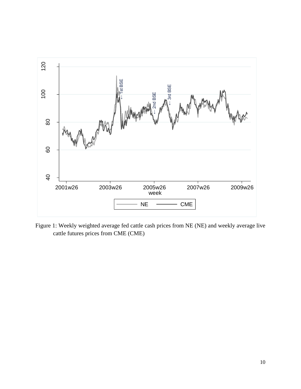

Figure 1: Weekly weighted average fed cattle cash prices from NE (NE) and weekly average live cattle futures prices from CME (CME)